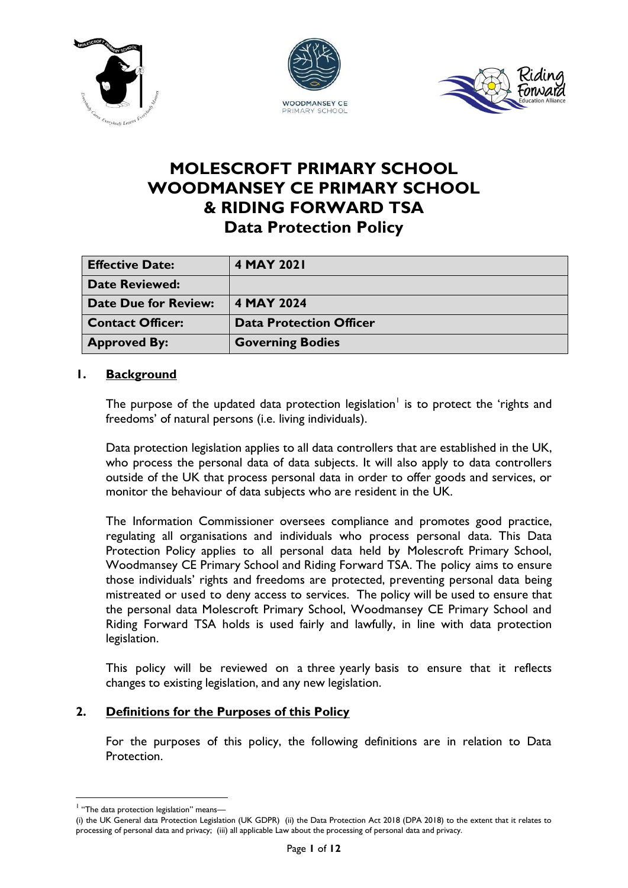





# **MOLESCROFT PRIMARY SCHOOL WOODMANSEY CE PRIMARY SCHOOL & RIDING FORWARD TSA Data Protection Policy**

| <b>Effective Date:</b>      | 4 MAY 2021                     |
|-----------------------------|--------------------------------|
| <b>Date Reviewed:</b>       |                                |
| <b>Date Due for Review:</b> | 4 MAY 2024                     |
| <b>Contact Officer:</b>     | <b>Data Protection Officer</b> |
| <b>Approved By:</b>         | <b>Governing Bodies</b>        |

# **1. Background**

The purpose of the updated data protection legislation<sup>1</sup> is to protect the 'rights and freedoms' of natural persons (i.e. living individuals).

Data protection legislation applies to all data controllers that are established in the UK, who process the personal data of data subjects. It will also apply to data controllers outside of the UK that process personal data in order to offer goods and services, or monitor the behaviour of data subjects who are resident in the UK.

The Information Commissioner oversees compliance and promotes good practice, regulating all organisations and individuals who process personal data. This Data Protection Policy applies to all personal data held by Molescroft Primary School, Woodmansey CE Primary School and Riding Forward TSA. The policy aims to ensure those individuals' rights and freedoms are protected, preventing personal data being mistreated or used to deny access to services. The policy will be used to ensure that the personal data Molescroft Primary School, Woodmansey CE Primary School and Riding Forward TSA holds is used fairly and lawfully, in line with data protection legislation.

This policy will be reviewed on a three yearly basis to ensure that it reflects changes to existing legislation, and any new legislation.

# **2. Definitions for the Purposes of this Policy**

For the purposes of this policy, the following definitions are in relation to Data Protection.

<u>.</u>

<sup>&</sup>lt;sup>1</sup> "The data protection legislation" means-

<sup>(</sup>i) the UK General data Protection Legislation (UK GDPR) (ii) the Data Protection Act 2018 (DPA 2018) to the extent that it relates to processing of personal data and privacy; (iii) all applicable Law about the processing of personal data and privacy.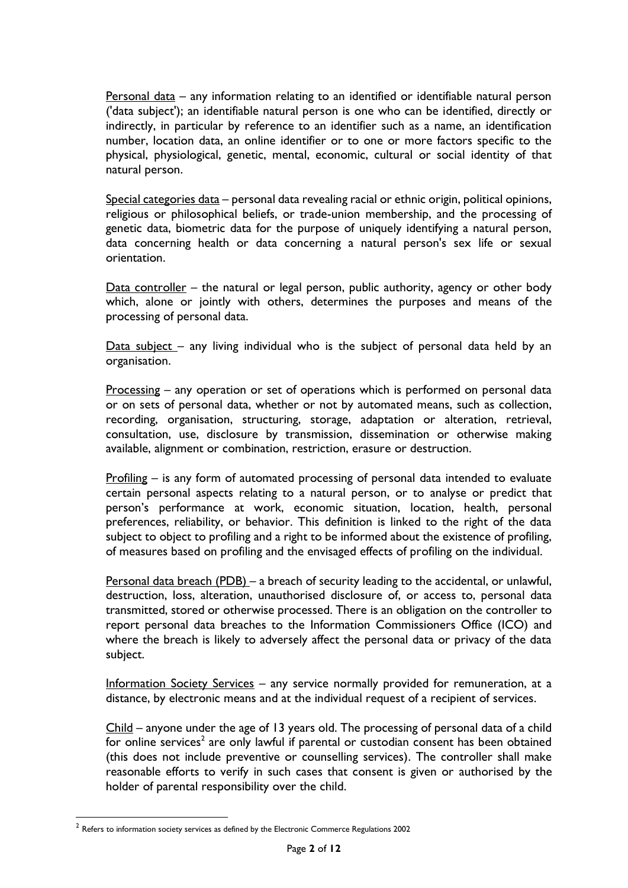Personal data – any information relating to an identified or identifiable natural person ('data subject'); an identifiable natural person is one who can be identified, directly or indirectly, in particular by reference to an identifier such as a name, an identification number, location data, an online identifier or to one or more factors specific to the physical, physiological, genetic, mental, economic, cultural or social identity of that natural person.

Special categories data – personal data revealing racial or ethnic origin, political opinions, religious or philosophical beliefs, or trade-union membership, and the processing of genetic data, biometric data for the purpose of uniquely identifying a natural person, data concerning health or data concerning a natural person's sex life or sexual orientation.

Data controller – the natural or legal person, public authority, agency or other body which, alone or jointly with others, determines the purposes and means of the processing of personal data.

Data subject – any living individual who is the subject of personal data held by an organisation.

Processing – any operation or set of operations which is performed on personal data or on sets of personal data, whether or not by automated means, such as collection, recording, organisation, structuring, storage, adaptation or alteration, retrieval, consultation, use, disclosure by transmission, dissemination or otherwise making available, alignment or combination, restriction, erasure or destruction.

Profiling – is any form of automated processing of personal data intended to evaluate certain personal aspects relating to a natural person, or to analyse or predict that person's performance at work, economic situation, location, health, personal preferences, reliability, or behavior. This definition is linked to the right of the data subject to object to profiling and a right to be informed about the existence of profiling, of measures based on profiling and the envisaged effects of profiling on the individual.

Personal data breach (PDB) – a breach of security leading to the accidental, or unlawful, destruction, loss, alteration, unauthorised disclosure of, or access to, personal data transmitted, stored or otherwise processed. There is an obligation on the controller to report personal data breaches to the Information Commissioners Office (ICO) and where the breach is likely to adversely affect the personal data or privacy of the data subject.

Information Society Services – any service normally provided for remuneration, at a distance, by electronic means and at the individual request of a recipient of services.

Child – anyone under the age of 13 years old. The processing of personal data of a child for online services<sup>2</sup> are only lawful if parental or custodian consent has been obtained (this does not include preventive or counselling services). The controller shall make reasonable efforts to verify in such cases that consent is given or authorised by the holder of parental responsibility over the child.

 2 Refers to information society services as defined by the Electronic Commerce Regulations 2002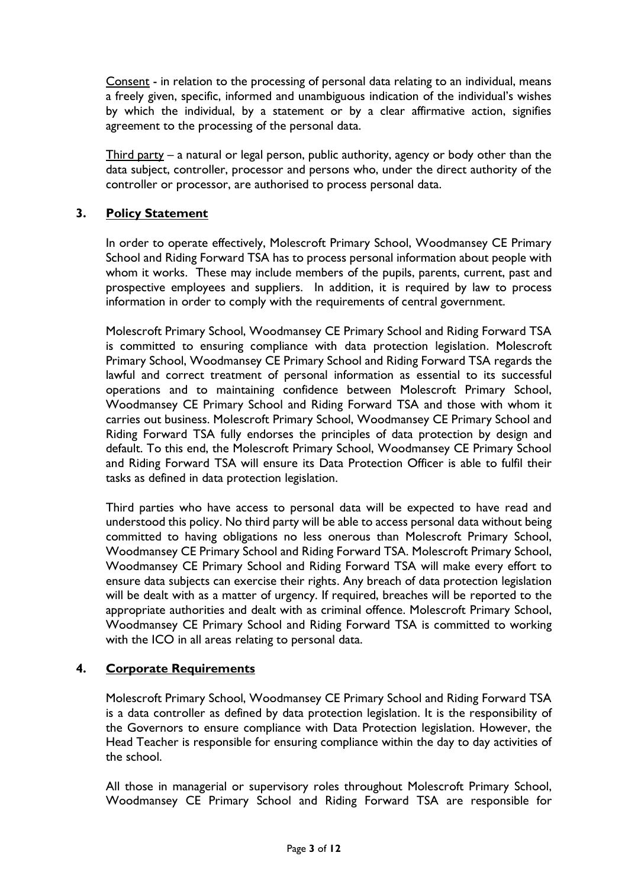Consent - in relation to the processing of personal data relating to an individual, means a freely given, specific, informed and unambiguous indication of the individual's wishes by which the individual, by a statement or by a clear affirmative action, signifies agreement to the processing of the personal data.

Third party – a natural or legal person, public authority, agency or body other than the data subject, controller, processor and persons who, under the direct authority of the controller or processor, are authorised to process personal data.

## **3. Policy Statement**

In order to operate effectively, Molescroft Primary School, Woodmansey CE Primary School and Riding Forward TSA has to process personal information about people with whom it works. These may include members of the pupils, parents, current, past and prospective employees and suppliers. In addition, it is required by law to process information in order to comply with the requirements of central government.

Molescroft Primary School, Woodmansey CE Primary School and Riding Forward TSA is committed to ensuring compliance with data protection legislation. Molescroft Primary School, Woodmansey CE Primary School and Riding Forward TSA regards the lawful and correct treatment of personal information as essential to its successful operations and to maintaining confidence between Molescroft Primary School, Woodmansey CE Primary School and Riding Forward TSA and those with whom it carries out business. Molescroft Primary School, Woodmansey CE Primary School and Riding Forward TSA fully endorses the principles of data protection by design and default. To this end, the Molescroft Primary School, Woodmansey CE Primary School and Riding Forward TSA will ensure its Data Protection Officer is able to fulfil their tasks as defined in data protection legislation.

Third parties who have access to personal data will be expected to have read and understood this policy. No third party will be able to access personal data without being committed to having obligations no less onerous than Molescroft Primary School, Woodmansey CE Primary School and Riding Forward TSA. Molescroft Primary School, Woodmansey CE Primary School and Riding Forward TSA will make every effort to ensure data subjects can exercise their rights. Any breach of data protection legislation will be dealt with as a matter of urgency. If required, breaches will be reported to the appropriate authorities and dealt with as criminal offence. Molescroft Primary School, Woodmansey CE Primary School and Riding Forward TSA is committed to working with the ICO in all areas relating to personal data.

## **4. Corporate Requirements**

Molescroft Primary School, Woodmansey CE Primary School and Riding Forward TSA is a data controller as defined by data protection legislation. It is the responsibility of the Governors to ensure compliance with Data Protection legislation. However, the Head Teacher is responsible for ensuring compliance within the day to day activities of the school.

All those in managerial or supervisory roles throughout Molescroft Primary School, Woodmansey CE Primary School and Riding Forward TSA are responsible for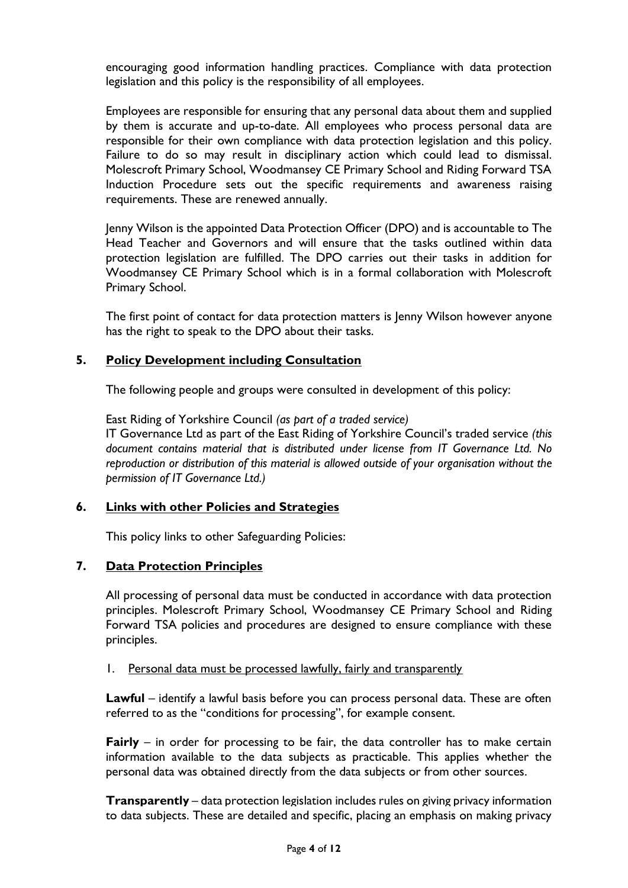encouraging good information handling practices. Compliance with data protection legislation and this policy is the responsibility of all employees.

Employees are responsible for ensuring that any personal data about them and supplied by them is accurate and up-to-date. All employees who process personal data are responsible for their own compliance with data protection legislation and this policy. Failure to do so may result in disciplinary action which could lead to dismissal. Molescroft Primary School, Woodmansey CE Primary School and Riding Forward TSA Induction Procedure sets out the specific requirements and awareness raising requirements. These are renewed annually.

Jenny Wilson is the appointed Data Protection Officer (DPO) and is accountable to The Head Teacher and Governors and will ensure that the tasks outlined within data protection legislation are fulfilled. The DPO carries out their tasks in addition for Woodmansey CE Primary School which is in a formal collaboration with Molescroft Primary School.

The first point of contact for data protection matters is Jenny Wilson however anyone has the right to speak to the DPO about their tasks.

## **5. Policy Development including Consultation**

The following people and groups were consulted in development of this policy:

East Riding of Yorkshire Council *(as part of a traded service)* IT Governance Ltd as part of the East Riding of Yorkshire Council's traded service *(this document contains material that is distributed under license from IT Governance Ltd. No reproduction or distribution of this material is allowed outside of your organisation without the permission of IT Governance Ltd.)*

## **6. Links with other Policies and Strategies**

This policy links to other Safeguarding Policies:

## **7. Data Protection Principles**

All processing of personal data must be conducted in accordance with data protection principles. Molescroft Primary School, Woodmansey CE Primary School and Riding Forward TSA policies and procedures are designed to ensure compliance with these principles.

1. Personal data must be processed lawfully, fairly and transparently

**Lawful** – identify a lawful basis before you can process personal data. These are often referred to as the "conditions for processing", for example consent.

**Fairly** – in order for processing to be fair, the data controller has to make certain information available to the data subjects as practicable. This applies whether the personal data was obtained directly from the data subjects or from other sources.

**Transparently** – data protection legislation includes rules on giving privacy information to data subjects. These are detailed and specific, placing an emphasis on making privacy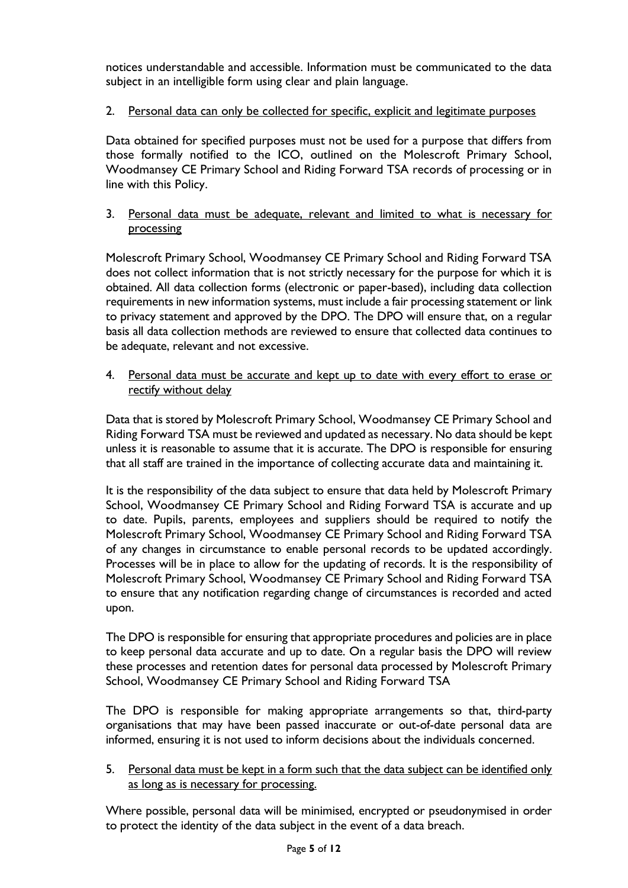notices understandable and accessible. Information must be communicated to the data subject in an intelligible form using clear and plain language.

# 2. Personal data can only be collected for specific, explicit and legitimate purposes

Data obtained for specified purposes must not be used for a purpose that differs from those formally notified to the ICO, outlined on the Molescroft Primary School, Woodmansey CE Primary School and Riding Forward TSA records of processing or in line with this Policy.

## 3. Personal data must be adequate, relevant and limited to what is necessary for processing

Molescroft Primary School, Woodmansey CE Primary School and Riding Forward TSA does not collect information that is not strictly necessary for the purpose for which it is obtained. All data collection forms (electronic or paper-based), including data collection requirements in new information systems, must include a fair processing statement or link to privacy statement and approved by the DPO. The DPO will ensure that, on a regular basis all data collection methods are reviewed to ensure that collected data continues to be adequate, relevant and not excessive.

4. Personal data must be accurate and kept up to date with every effort to erase or rectify without delay

Data that is stored by Molescroft Primary School, Woodmansey CE Primary School and Riding Forward TSA must be reviewed and updated as necessary. No data should be kept unless it is reasonable to assume that it is accurate. The DPO is responsible for ensuring that all staff are trained in the importance of collecting accurate data and maintaining it.

It is the responsibility of the data subject to ensure that data held by Molescroft Primary School, Woodmansey CE Primary School and Riding Forward TSA is accurate and up to date. Pupils, parents, employees and suppliers should be required to notify the Molescroft Primary School, Woodmansey CE Primary School and Riding Forward TSA of any changes in circumstance to enable personal records to be updated accordingly. Processes will be in place to allow for the updating of records. It is the responsibility of Molescroft Primary School, Woodmansey CE Primary School and Riding Forward TSA to ensure that any notification regarding change of circumstances is recorded and acted upon.

The DPO is responsible for ensuring that appropriate procedures and policies are in place to keep personal data accurate and up to date. On a regular basis the DPO will review these processes and retention dates for personal data processed by Molescroft Primary School, Woodmansey CE Primary School and Riding Forward TSA

The DPO is responsible for making appropriate arrangements so that, third-party organisations that may have been passed inaccurate or out-of-date personal data are informed, ensuring it is not used to inform decisions about the individuals concerned.

5. Personal data must be kept in a form such that the data subject can be identified only as long as is necessary for processing.

Where possible, personal data will be minimised, encrypted or pseudonymised in order to protect the identity of the data subject in the event of a data breach.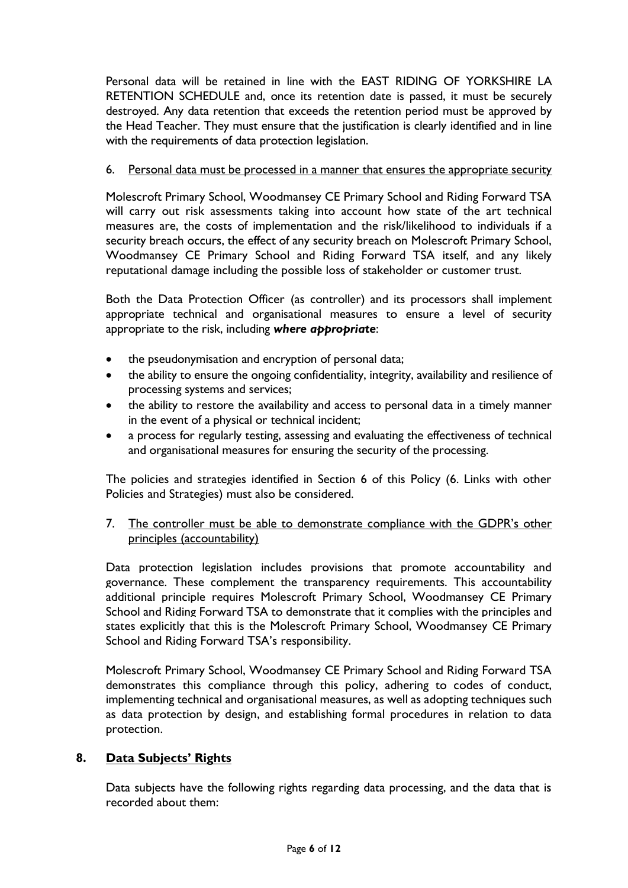Personal data will be retained in line with the EAST RIDING OF YORKSHIRE LA RETENTION SCHEDULE and, once its retention date is passed, it must be securely destroyed. Any data retention that exceeds the retention period must be approved by the Head Teacher. They must ensure that the justification is clearly identified and in line with the requirements of data protection legislation.

#### 6. Personal data must be processed in a manner that ensures the appropriate security

Molescroft Primary School, Woodmansey CE Primary School and Riding Forward TSA will carry out risk assessments taking into account how state of the art technical measures are, the costs of implementation and the risk/likelihood to individuals if a security breach occurs, the effect of any security breach on Molescroft Primary School, Woodmansey CE Primary School and Riding Forward TSA itself, and any likely reputational damage including the possible loss of stakeholder or customer trust.

Both the Data Protection Officer (as controller) and its processors shall implement appropriate technical and organisational measures to ensure a level of security appropriate to the risk, including *where appropriate*:

- the pseudonymisation and encryption of personal data;
- the ability to ensure the ongoing confidentiality, integrity, availability and resilience of processing systems and services;
- the ability to restore the availability and access to personal data in a timely manner in the event of a physical or technical incident;
- a process for regularly testing, assessing and evaluating the effectiveness of technical and organisational measures for ensuring the security of the processing.

The policies and strategies identified in Section 6 of this Policy (6. Links with other Policies and Strategies) must also be considered.

7. The controller must be able to demonstrate compliance with the GDPR's other principles (accountability)

Data protection legislation includes provisions that promote accountability and governance. These complement the transparency requirements. This accountability additional principle requires Molescroft Primary School, Woodmansey CE Primary School and Riding Forward TSA to demonstrate that it complies with the principles and states explicitly that this is the Molescroft Primary School, Woodmansey CE Primary School and Riding Forward TSA's responsibility.

Molescroft Primary School, Woodmansey CE Primary School and Riding Forward TSA demonstrates this compliance through this policy, adhering to codes of conduct, implementing technical and organisational measures, as well as adopting techniques such as data protection by design, and establishing formal procedures in relation to data protection.

#### **8. Data Subjects' Rights**

Data subjects have the following rights regarding data processing, and the data that is recorded about them: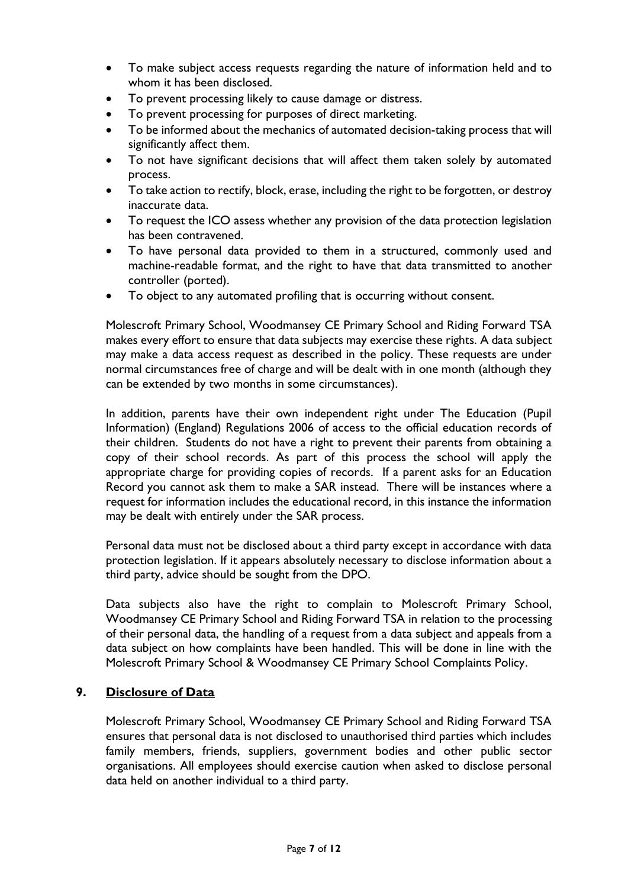- To make subject access requests regarding the nature of information held and to whom it has been disclosed.
- To prevent processing likely to cause damage or distress.
- To prevent processing for purposes of direct marketing.
- To be informed about the mechanics of automated decision-taking process that will significantly affect them.
- To not have significant decisions that will affect them taken solely by automated process.
- To take action to rectify, block, erase, including the right to be forgotten, or destroy inaccurate data.
- To request the ICO assess whether any provision of the data protection legislation has been contravened.
- To have personal data provided to them in a structured, commonly used and machine-readable format, and the right to have that data transmitted to another controller (ported).
- To object to any automated profiling that is occurring without consent.

Molescroft Primary School, Woodmansey CE Primary School and Riding Forward TSA makes every effort to ensure that data subjects may exercise these rights. A data subject may make a data access request as described in the policy. These requests are under normal circumstances free of charge and will be dealt with in one month (although they can be extended by two months in some circumstances).

In addition, parents have their own independent right under The Education (Pupil Information) (England) Regulations 2006 of access to the official education records of their children. Students do not have a right to prevent their parents from obtaining a copy of their school records. As part of this process the school will apply the appropriate charge for providing copies of records. If a parent asks for an Education Record you cannot ask them to make a SAR instead. There will be instances where a request for information includes the educational record, in this instance the information may be dealt with entirely under the SAR process.

Personal data must not be disclosed about a third party except in accordance with data protection legislation. If it appears absolutely necessary to disclose information about a third party, advice should be sought from the DPO.

Data subjects also have the right to complain to Molescroft Primary School, Woodmansey CE Primary School and Riding Forward TSA in relation to the processing of their personal data, the handling of a request from a data subject and appeals from a data subject on how complaints have been handled. This will be done in line with the Molescroft Primary School & Woodmansey CE Primary School Complaints Policy.

## **9. Disclosure of Data**

Molescroft Primary School, Woodmansey CE Primary School and Riding Forward TSA ensures that personal data is not disclosed to unauthorised third parties which includes family members, friends, suppliers, government bodies and other public sector organisations. All employees should exercise caution when asked to disclose personal data held on another individual to a third party.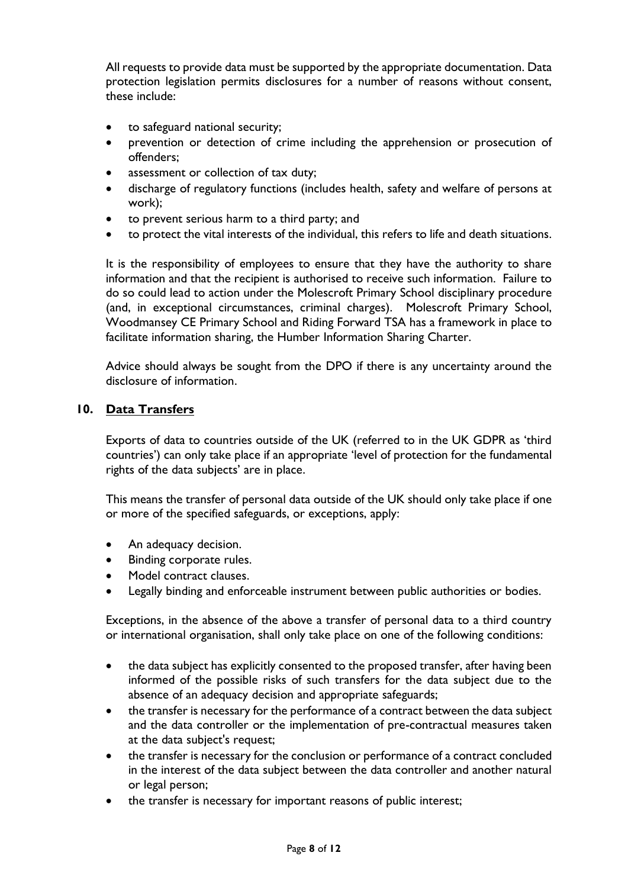All requests to provide data must be supported by the appropriate documentation. Data protection legislation permits disclosures for a number of reasons without consent, these include:

- to safeguard national security;
- prevention or detection of crime including the apprehension or prosecution of offenders;
- assessment or collection of tax duty;
- discharge of regulatory functions (includes health, safety and welfare of persons at work);
- to prevent serious harm to a third party; and
- to protect the vital interests of the individual, this refers to life and death situations.

It is the responsibility of employees to ensure that they have the authority to share information and that the recipient is authorised to receive such information. Failure to do so could lead to action under the Molescroft Primary School disciplinary procedure (and, in exceptional circumstances, criminal charges). Molescroft Primary School, Woodmansey CE Primary School and Riding Forward TSA has a framework in place to facilitate information sharing, the Humber Information Sharing Charter.

Advice should always be sought from the DPO if there is any uncertainty around the disclosure of information.

#### **10. Data Transfers**

Exports of data to countries outside of the UK (referred to in the UK GDPR as 'third countries') can only take place if an appropriate 'level of protection for the fundamental rights of the data subjects' are in place.

This means the transfer of personal data outside of the UK should only take place if one or more of the specified safeguards, or exceptions, apply:

- An adequacy decision.
- Binding corporate rules.
- Model contract clauses.
- Legally binding and enforceable instrument between public authorities or bodies.

Exceptions, in the absence of the above a transfer of personal data to a third country or international organisation, shall only take place on one of the following conditions:

- the data subject has explicitly consented to the proposed transfer, after having been informed of the possible risks of such transfers for the data subject due to the absence of an adequacy decision and appropriate safeguards;
- the transfer is necessary for the performance of a contract between the data subject and the data controller or the implementation of pre-contractual measures taken at the data subject's request;
- the transfer is necessary for the conclusion or performance of a contract concluded in the interest of the data subject between the data controller and another natural or legal person;
- the transfer is necessary for important reasons of public interest;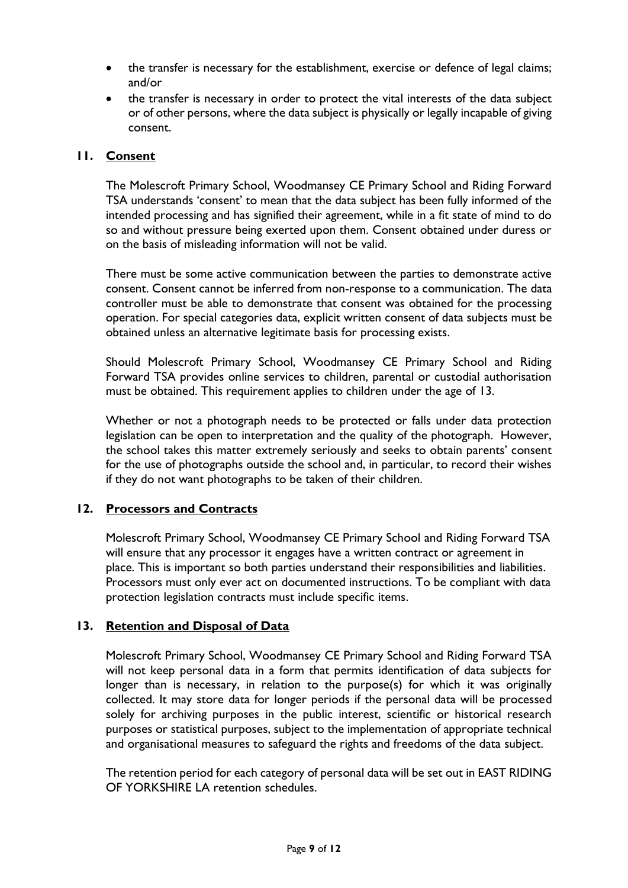- the transfer is necessary for the establishment, exercise or defence of legal claims; and/or
- the transfer is necessary in order to protect the vital interests of the data subject or of other persons, where the data subject is physically or legally incapable of giving consent.

## **11. Consent**

The Molescroft Primary School, Woodmansey CE Primary School and Riding Forward TSA understands 'consent' to mean that the data subject has been fully informed of the intended processing and has signified their agreement, while in a fit state of mind to do so and without pressure being exerted upon them. Consent obtained under duress or on the basis of misleading information will not be valid.

There must be some active communication between the parties to demonstrate active consent. Consent cannot be inferred from non-response to a communication. The data controller must be able to demonstrate that consent was obtained for the processing operation. For special categories data, explicit written consent of data subjects must be obtained unless an alternative legitimate basis for processing exists.

Should Molescroft Primary School, Woodmansey CE Primary School and Riding Forward TSA provides online services to children, parental or custodial authorisation must be obtained. This requirement applies to children under the age of 13.

Whether or not a photograph needs to be protected or falls under data protection legislation can be open to interpretation and the quality of the photograph. However, the school takes this matter extremely seriously and seeks to obtain parents' consent for the use of photographs outside the school and, in particular, to record their wishes if they do not want photographs to be taken of their children.

## **12. Processors and Contracts**

Molescroft Primary School, Woodmansey CE Primary School and Riding Forward TSA will ensure that any processor it engages have a written contract or agreement in place. This is important so both parties understand their responsibilities and liabilities. Processors must only ever act on documented instructions. To be compliant with data protection legislation contracts must include specific items.

## **13. Retention and Disposal of Data**

Molescroft Primary School, Woodmansey CE Primary School and Riding Forward TSA will not keep personal data in a form that permits identification of data subjects for longer than is necessary, in relation to the purpose(s) for which it was originally collected. It may store data for longer periods if the personal data will be processed solely for archiving purposes in the public interest, scientific or historical research purposes or statistical purposes, subject to the implementation of appropriate technical and organisational measures to safeguard the rights and freedoms of the data subject.

The retention period for each category of personal data will be set out in EAST RIDING OF YORKSHIRE LA retention schedules.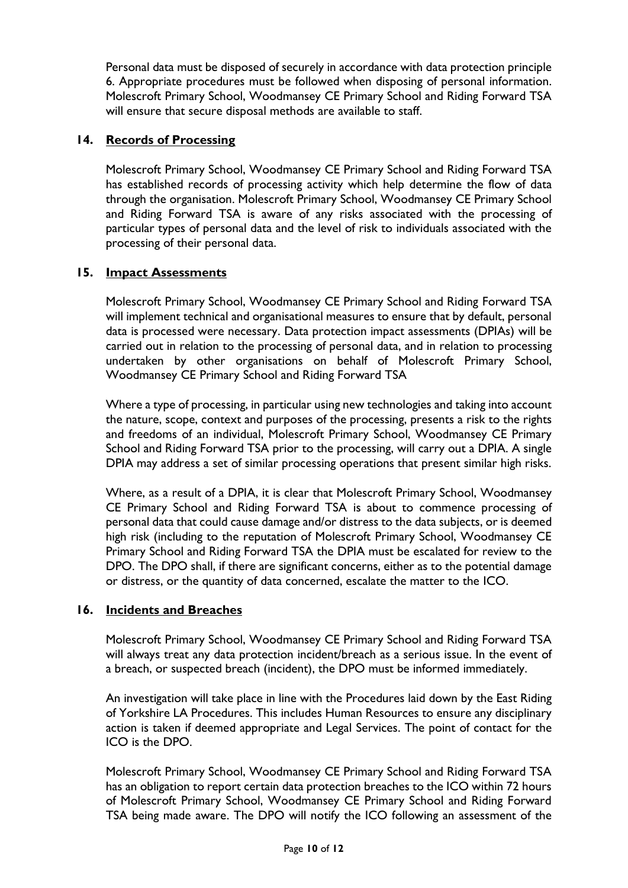Personal data must be disposed of securely in accordance with data protection principle 6. Appropriate procedures must be followed when disposing of personal information. Molescroft Primary School, Woodmansey CE Primary School and Riding Forward TSA will ensure that secure disposal methods are available to staff.

## **14. Records of Processing**

Molescroft Primary School, Woodmansey CE Primary School and Riding Forward TSA has established records of processing activity which help determine the flow of data through the organisation. Molescroft Primary School, Woodmansey CE Primary School and Riding Forward TSA is aware of any risks associated with the processing of particular types of personal data and the level of risk to individuals associated with the processing of their personal data.

## **15. Impact Assessments**

Molescroft Primary School, Woodmansey CE Primary School and Riding Forward TSA will implement technical and organisational measures to ensure that by default, personal data is processed were necessary. Data protection impact assessments (DPIAs) will be carried out in relation to the processing of personal data, and in relation to processing undertaken by other organisations on behalf of Molescroft Primary School, Woodmansey CE Primary School and Riding Forward TSA

Where a type of processing, in particular using new technologies and taking into account the nature, scope, context and purposes of the processing, presents a risk to the rights and freedoms of an individual, Molescroft Primary School, Woodmansey CE Primary School and Riding Forward TSA prior to the processing, will carry out a DPIA. A single DPIA may address a set of similar processing operations that present similar high risks.

Where, as a result of a DPIA, it is clear that Molescroft Primary School, Woodmansey CE Primary School and Riding Forward TSA is about to commence processing of personal data that could cause damage and/or distress to the data subjects, or is deemed high risk (including to the reputation of Molescroft Primary School, Woodmansey CE Primary School and Riding Forward TSA the DPIA must be escalated for review to the DPO. The DPO shall, if there are significant concerns, either as to the potential damage or distress, or the quantity of data concerned, escalate the matter to the ICO.

## **16. Incidents and Breaches**

Molescroft Primary School, Woodmansey CE Primary School and Riding Forward TSA will always treat any data protection incident/breach as a serious issue. In the event of a breach, or suspected breach (incident), the DPO must be informed immediately.

An investigation will take place in line with the Procedures laid down by the East Riding of Yorkshire LA Procedures. This includes Human Resources to ensure any disciplinary action is taken if deemed appropriate and Legal Services. The point of contact for the ICO is the DPO.

Molescroft Primary School, Woodmansey CE Primary School and Riding Forward TSA has an obligation to report certain data protection breaches to the ICO within 72 hours of Molescroft Primary School, Woodmansey CE Primary School and Riding Forward TSA being made aware. The DPO will notify the ICO following an assessment of the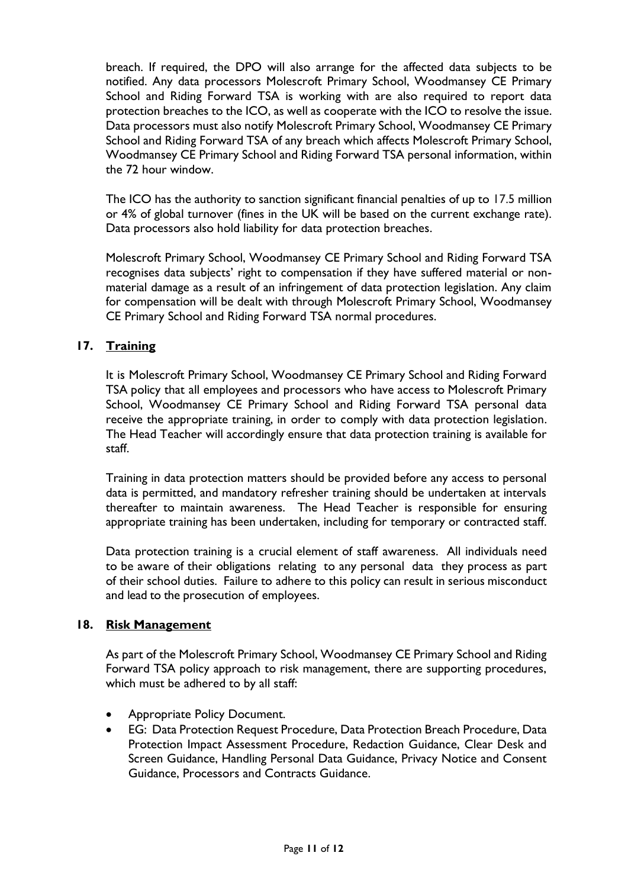breach. If required, the DPO will also arrange for the affected data subjects to be notified. Any data processors Molescroft Primary School, Woodmansey CE Primary School and Riding Forward TSA is working with are also required to report data protection breaches to the ICO, as well as cooperate with the ICO to resolve the issue. Data processors must also notify Molescroft Primary School, Woodmansey CE Primary School and Riding Forward TSA of any breach which affects Molescroft Primary School, Woodmansey CE Primary School and Riding Forward TSA personal information, within the 72 hour window.

The ICO has the authority to sanction significant financial penalties of up to 17.5 million or 4% of global turnover (fines in the UK will be based on the current exchange rate). Data processors also hold liability for data protection breaches.

Molescroft Primary School, Woodmansey CE Primary School and Riding Forward TSA recognises data subjects' right to compensation if they have suffered material or nonmaterial damage as a result of an infringement of data protection legislation. Any claim for compensation will be dealt with through Molescroft Primary School, Woodmansey CE Primary School and Riding Forward TSA normal procedures.

## **17. Training**

It is Molescroft Primary School, Woodmansey CE Primary School and Riding Forward TSA policy that all employees and processors who have access to Molescroft Primary School, Woodmansey CE Primary School and Riding Forward TSA personal data receive the appropriate training, in order to comply with data protection legislation. The Head Teacher will accordingly ensure that data protection training is available for staff.

Training in data protection matters should be provided before any access to personal data is permitted, and mandatory refresher training should be undertaken at intervals thereafter to maintain awareness. The Head Teacher is responsible for ensuring appropriate training has been undertaken, including for temporary or contracted staff.

Data protection training is a crucial element of staff awareness. All individuals need to be aware of their obligations relating to any personal data they process as part of their school duties. Failure to adhere to this policy can result in serious misconduct and lead to the prosecution of employees.

## **18. Risk Management**

As part of the Molescroft Primary School, Woodmansey CE Primary School and Riding Forward TSA policy approach to risk management, there are supporting procedures, which must be adhered to by all staff:

- Appropriate Policy Document.
- EG: Data Protection Request Procedure, Data Protection Breach Procedure, Data Protection Impact Assessment Procedure, Redaction Guidance, Clear Desk and Screen Guidance, Handling Personal Data Guidance, Privacy Notice and Consent Guidance, Processors and Contracts Guidance.